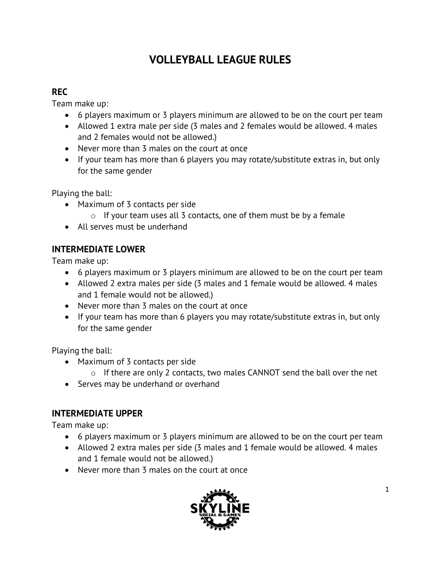# **VOLLEYBALL LEAGUE RULES**

## **REC**

Team make up:

- 6 players maximum or 3 players minimum are allowed to be on the court per team
- Allowed 1 extra male per side (3 males and 2 females would be allowed. 4 males and 2 females would not be allowed.)
- Never more than 3 males on the court at once
- If your team has more than 6 players you may rotate/substitute extras in, but only for the same gender

Playing the ball:

- Maximum of 3 contacts per side
	- $\circ$  If your team uses all 3 contacts, one of them must be by a female
- All serves must be underhand

# **INTERMEDIATE LOWER**

Team make up:

- 6 players maximum or 3 players minimum are allowed to be on the court per team
- Allowed 2 extra males per side (3 males and 1 female would be allowed. 4 males and 1 female would not be allowed.)
- Never more than 3 males on the court at once
- If your team has more than 6 players you may rotate/substitute extras in, but only for the same gender

Playing the ball:

- Maximum of 3 contacts per side
	- o If there are only 2 contacts, two males CANNOT send the ball over the net
- Serves may be underhand or overhand

# **INTERMEDIATE UPPER**

Team make up:

- 6 players maximum or 3 players minimum are allowed to be on the court per team
- Allowed 2 extra males per side (3 males and 1 female would be allowed. 4 males and 1 female would not be allowed.)
- Never more than 3 males on the court at once

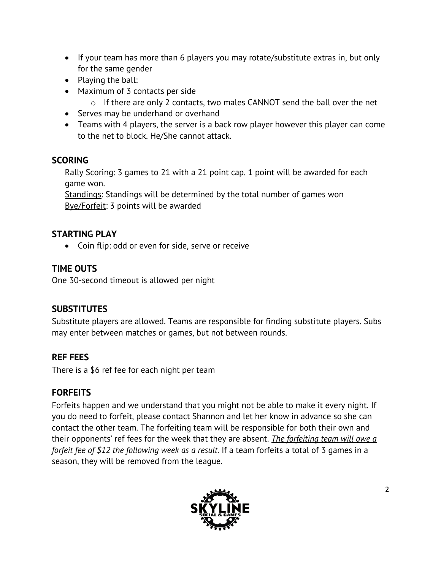- If your team has more than 6 players you may rotate/substitute extras in, but only for the same gender
- Playing the ball:
- Maximum of 3 contacts per side
	- $\circ$  If there are only 2 contacts, two males CANNOT send the ball over the net
- Serves may be underhand or overhand
- Teams with 4 players, the server is a back row player however this player can come to the net to block. He/She cannot attack.

## **SCORING**

Rally Scoring: 3 games to 21 with a 21 point cap. 1 point will be awarded for each game won.

Standings: Standings will be determined by the total number of games won Bye/Forfeit: 3 points will be awarded

# **STARTING PLAY**

• Coin flip: odd or even for side, serve or receive

## **TIME OUTS**

One 30-second timeout is allowed per night

### **SUBSTITUTES**

Substitute players are allowed. Teams are responsible for finding substitute players. Subs may enter between matches or games, but not between rounds.

### **REF FEES**

There is a \$6 ref fee for each night per team

### **FORFEITS**

Forfeits happen and we understand that you might not be able to make it every night. If you do need to forfeit, please contact Shannon and let her know in advance so she can contact the other team. The forfeiting team will be responsible for both their own and their opponents' ref fees for the week that they are absent. *The forfeiting team will owe a forfeit fee of \$12 the following week as a result.* If a team forfeits a total of 3 games in a season, they will be removed from the league.